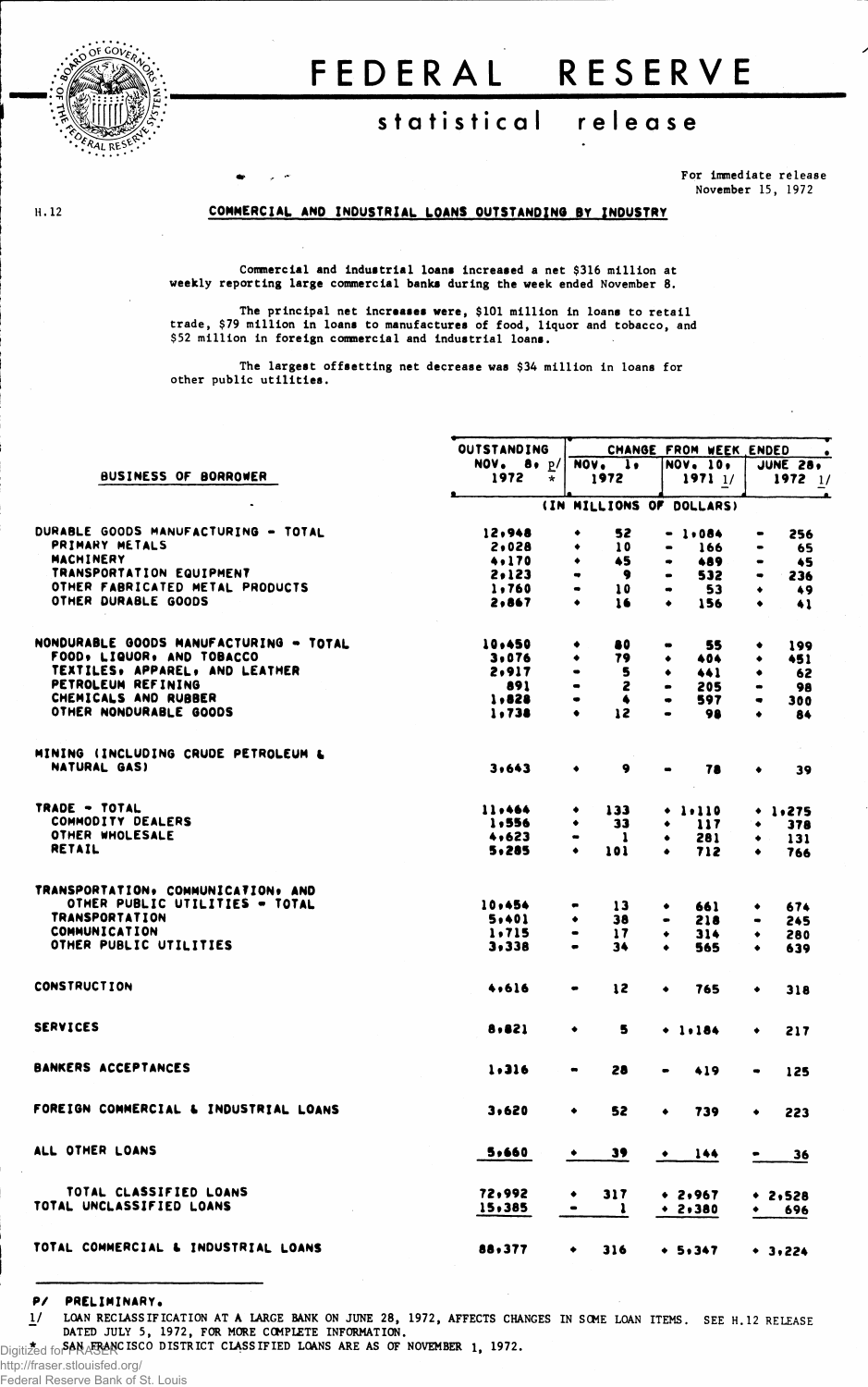

H. 12

## FEDERAL RESERVE

## **statistica l releas e**

For Immediate release November 15, 1972

## **COMMERCIAL AND INDUSTRIAL LOANS OUTSTANDING BY INDUSTRY**

Commercial and Industrial loans Increased a net \$316 million at weekly reporting large commercial banks during the week ended November 8.

The principal net Increases were, \$101 million in loans to retail trade, \$79 million in loans to manufactures of food, liquor and tobacco, and \$52 million in foreign commercial and industrial loans.

The largest offsetting net decrease was \$34 million in loans for other public utilities.

| OUTSTANDING              | CHANGE FROM WEEK ENDED<br>$\bullet$                                                                                         |                                                                                                                                                 |                                                                                                                                                                                                                 |  |  |  |  |  |  |
|--------------------------|-----------------------------------------------------------------------------------------------------------------------------|-------------------------------------------------------------------------------------------------------------------------------------------------|-----------------------------------------------------------------------------------------------------------------------------------------------------------------------------------------------------------------|--|--|--|--|--|--|
| NOV. 8, p/               | $NOVo$ 1.                                                                                                                   | <b>NOV. 10.</b>                                                                                                                                 | JUNE 28,                                                                                                                                                                                                        |  |  |  |  |  |  |
| 1972<br>$\star$          | 1972                                                                                                                        | 19711/                                                                                                                                          | $1972$ $1/$                                                                                                                                                                                                     |  |  |  |  |  |  |
| (IN MILLIONS OF DOLLARS) |                                                                                                                             |                                                                                                                                                 |                                                                                                                                                                                                                 |  |  |  |  |  |  |
| 12,948                   | 52<br>٠                                                                                                                     | $-1.084$                                                                                                                                        | 256<br>$\bullet$                                                                                                                                                                                                |  |  |  |  |  |  |
| 2,028                    | 10<br>٠                                                                                                                     | 166                                                                                                                                             | 65                                                                                                                                                                                                              |  |  |  |  |  |  |
|                          | ٠                                                                                                                           |                                                                                                                                                 | 45<br>$\bullet$                                                                                                                                                                                                 |  |  |  |  |  |  |
|                          | ۰                                                                                                                           | $\bullet$                                                                                                                                       | 236                                                                                                                                                                                                             |  |  |  |  |  |  |
|                          | $\bullet$                                                                                                                   |                                                                                                                                                 | 49<br>۰                                                                                                                                                                                                         |  |  |  |  |  |  |
| 2,867                    | 16<br>٠                                                                                                                     | $\bullet$<br>156                                                                                                                                | 41<br>٠                                                                                                                                                                                                         |  |  |  |  |  |  |
|                          |                                                                                                                             |                                                                                                                                                 | 199<br>۰                                                                                                                                                                                                        |  |  |  |  |  |  |
|                          |                                                                                                                             |                                                                                                                                                 |                                                                                                                                                                                                                 |  |  |  |  |  |  |
|                          |                                                                                                                             |                                                                                                                                                 | 451                                                                                                                                                                                                             |  |  |  |  |  |  |
|                          |                                                                                                                             |                                                                                                                                                 | 62<br>٠                                                                                                                                                                                                         |  |  |  |  |  |  |
|                          |                                                                                                                             |                                                                                                                                                 | 98                                                                                                                                                                                                              |  |  |  |  |  |  |
|                          |                                                                                                                             |                                                                                                                                                 | 300<br>$\bullet$                                                                                                                                                                                                |  |  |  |  |  |  |
|                          | ٠                                                                                                                           |                                                                                                                                                 | 84<br>٠                                                                                                                                                                                                         |  |  |  |  |  |  |
|                          |                                                                                                                             |                                                                                                                                                 |                                                                                                                                                                                                                 |  |  |  |  |  |  |
| 3,643                    | 9<br>٠                                                                                                                      | 78                                                                                                                                              | 39                                                                                                                                                                                                              |  |  |  |  |  |  |
| 11,464                   | 133<br>٠                                                                                                                    | 1.110<br>۰                                                                                                                                      | $+ 1.275$                                                                                                                                                                                                       |  |  |  |  |  |  |
|                          | 33                                                                                                                          | ٠                                                                                                                                               | 378                                                                                                                                                                                                             |  |  |  |  |  |  |
| 4,623                    | -1<br>$\qquad \qquad \blacksquare$                                                                                          | ٠                                                                                                                                               | 131<br>۰                                                                                                                                                                                                        |  |  |  |  |  |  |
| 5,285                    | 101<br>٠                                                                                                                    | 712<br>٠                                                                                                                                        | 766                                                                                                                                                                                                             |  |  |  |  |  |  |
|                          |                                                                                                                             |                                                                                                                                                 |                                                                                                                                                                                                                 |  |  |  |  |  |  |
|                          |                                                                                                                             |                                                                                                                                                 | 674<br>۰                                                                                                                                                                                                        |  |  |  |  |  |  |
|                          |                                                                                                                             |                                                                                                                                                 | 245<br>$\qquad \qquad \bullet$                                                                                                                                                                                  |  |  |  |  |  |  |
|                          |                                                                                                                             |                                                                                                                                                 |                                                                                                                                                                                                                 |  |  |  |  |  |  |
| 3,338                    | 34<br>$\bullet$                                                                                                             | 565<br>٠                                                                                                                                        | 280<br>٠<br>639<br>$\bullet$                                                                                                                                                                                    |  |  |  |  |  |  |
| 4,616                    | 12<br>$\bullet$                                                                                                             | 765<br>٠                                                                                                                                        | ۰<br>318                                                                                                                                                                                                        |  |  |  |  |  |  |
|                          |                                                                                                                             |                                                                                                                                                 |                                                                                                                                                                                                                 |  |  |  |  |  |  |
| 8,821                    | 5<br>۰                                                                                                                      | $+ 1.184$                                                                                                                                       | 217<br>٠                                                                                                                                                                                                        |  |  |  |  |  |  |
| 1.316                    | 28<br>$\qquad \qquad \blacksquare$                                                                                          | 419<br>$\qquad \qquad \blacksquare$                                                                                                             | 125<br>$\qquad \qquad \bullet$                                                                                                                                                                                  |  |  |  |  |  |  |
| 3,620                    | 52<br>٠                                                                                                                     | 739<br>٠                                                                                                                                        | 223<br>٠                                                                                                                                                                                                        |  |  |  |  |  |  |
| 5,660                    |                                                                                                                             | $\bullet$ 144                                                                                                                                   | 36                                                                                                                                                                                                              |  |  |  |  |  |  |
|                          |                                                                                                                             |                                                                                                                                                 | $* 2,528$                                                                                                                                                                                                       |  |  |  |  |  |  |
| 15,385                   | $\bullet$<br>$\mathbf{1}$                                                                                                   | $* 2.380$                                                                                                                                       | 696<br>$\bullet$                                                                                                                                                                                                |  |  |  |  |  |  |
| 88,377                   | $\bullet$ .                                                                                                                 | $316 \rightarrow 5.347$                                                                                                                         | • 3.224                                                                                                                                                                                                         |  |  |  |  |  |  |
|                          | 4.170<br>2,123<br>1,760<br>10,450<br>3.076<br>2,917<br>891<br>1,828<br>1.738<br>1,556<br>10,454<br>5,401<br>1.715<br>72,992 | 45<br>9<br>10<br>80<br>٠<br>79<br>5<br>2<br>٠<br>۰<br>12<br>13<br>38<br>٠<br>$\frac{17}{1}$<br>$\qquad \qquad \blacksquare$<br>317<br>$\bullet$ | 489<br>$\bullet$<br>532<br>53<br>$\bullet$<br>55<br>۰<br>404<br>٠<br>441<br>٠<br>$\bullet$<br>205<br>597.<br>$\bullet$<br>98<br>117<br>281<br>661<br>٠<br>218<br>$\bullet$<br>314<br>٠<br>39<br>$\bullet$ 2,967 |  |  |  |  |  |  |

**P/ PRELIMINARY.** 1/ LOAN RECLASSIFICATION AT **A** LARGE BANK ON JUNE 28, 1972, AFFECTS CHANGES IN SOME LOAN ITEMS. SEE H.12 RELEASE DATED JULY 5, 1972, FOR MORE COMPLETE INFORMATION. Digitized for SAN FRANCISCO DISTRICT CLASSIFIED LOANS ARE AS OF NOVEMBER 1, 1972.

http://fraser.stlouisfed.org/

Federal Reserve Bank of St. Louis